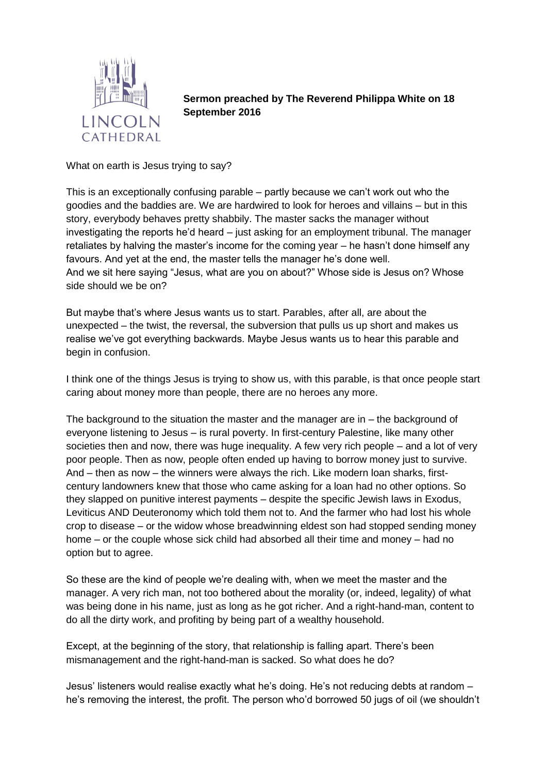

**Sermon preached by The Reverend Philippa White on 18 September 2016**

What on earth is Jesus trying to say?

This is an exceptionally confusing parable – partly because we can't work out who the goodies and the baddies are. We are hardwired to look for heroes and villains – but in this story, everybody behaves pretty shabbily. The master sacks the manager without investigating the reports he'd heard – just asking for an employment tribunal. The manager retaliates by halving the master's income for the coming year – he hasn't done himself any favours. And yet at the end, the master tells the manager he's done well. And we sit here saying "Jesus, what are you on about?" Whose side is Jesus on? Whose side should we be on?

But maybe that's where Jesus wants us to start. Parables, after all, are about the unexpected – the twist, the reversal, the subversion that pulls us up short and makes us realise we've got everything backwards. Maybe Jesus wants us to hear this parable and begin in confusion.

I think one of the things Jesus is trying to show us, with this parable, is that once people start caring about money more than people, there are no heroes any more.

The background to the situation the master and the manager are in – the background of everyone listening to Jesus – is rural poverty. In first-century Palestine, like many other societies then and now, there was huge inequality. A few very rich people – and a lot of very poor people. Then as now, people often ended up having to borrow money just to survive. And – then as now – the winners were always the rich. Like modern loan sharks, firstcentury landowners knew that those who came asking for a loan had no other options. So they slapped on punitive interest payments – despite the specific Jewish laws in Exodus, Leviticus AND Deuteronomy which told them not to. And the farmer who had lost his whole crop to disease – or the widow whose breadwinning eldest son had stopped sending money home – or the couple whose sick child had absorbed all their time and money – had no option but to agree.

So these are the kind of people we're dealing with, when we meet the master and the manager. A very rich man, not too bothered about the morality (or, indeed, legality) of what was being done in his name, just as long as he got richer. And a right-hand-man, content to do all the dirty work, and profiting by being part of a wealthy household.

Except, at the beginning of the story, that relationship is falling apart. There's been mismanagement and the right-hand-man is sacked. So what does he do?

Jesus' listeners would realise exactly what he's doing. He's not reducing debts at random – he's removing the interest, the profit. The person who'd borrowed 50 jugs of oil (we shouldn't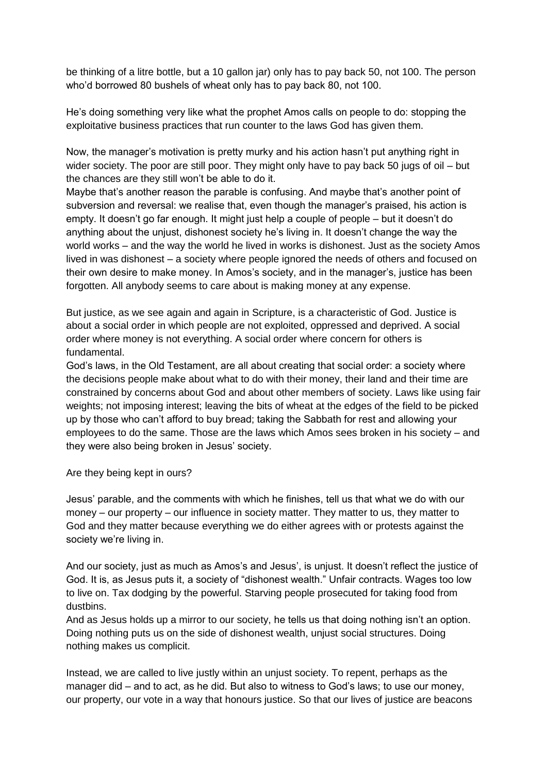be thinking of a litre bottle, but a 10 gallon jar) only has to pay back 50, not 100. The person who'd borrowed 80 bushels of wheat only has to pay back 80, not 100.

He's doing something very like what the prophet Amos calls on people to do: stopping the exploitative business practices that run counter to the laws God has given them.

Now, the manager's motivation is pretty murky and his action hasn't put anything right in wider society. The poor are still poor. They might only have to pay back 50 jugs of oil – but the chances are they still won't be able to do it.

Maybe that's another reason the parable is confusing. And maybe that's another point of subversion and reversal: we realise that, even though the manager's praised, his action is empty. It doesn't go far enough. It might just help a couple of people – but it doesn't do anything about the unjust, dishonest society he's living in. It doesn't change the way the world works – and the way the world he lived in works is dishonest. Just as the society Amos lived in was dishonest – a society where people ignored the needs of others and focused on their own desire to make money. In Amos's society, and in the manager's, justice has been forgotten. All anybody seems to care about is making money at any expense.

But justice, as we see again and again in Scripture, is a characteristic of God. Justice is about a social order in which people are not exploited, oppressed and deprived. A social order where money is not everything. A social order where concern for others is fundamental.

God's laws, in the Old Testament, are all about creating that social order: a society where the decisions people make about what to do with their money, their land and their time are constrained by concerns about God and about other members of society. Laws like using fair weights; not imposing interest; leaving the bits of wheat at the edges of the field to be picked up by those who can't afford to buy bread; taking the Sabbath for rest and allowing your employees to do the same. Those are the laws which Amos sees broken in his society – and they were also being broken in Jesus' society.

Are they being kept in ours?

Jesus' parable, and the comments with which he finishes, tell us that what we do with our money – our property – our influence in society matter. They matter to us, they matter to God and they matter because everything we do either agrees with or protests against the society we're living in.

And our society, just as much as Amos's and Jesus', is unjust. It doesn't reflect the justice of God. It is, as Jesus puts it, a society of "dishonest wealth." Unfair contracts. Wages too low to live on. Tax dodging by the powerful. Starving people prosecuted for taking food from dustbins.

And as Jesus holds up a mirror to our society, he tells us that doing nothing isn't an option. Doing nothing puts us on the side of dishonest wealth, unjust social structures. Doing nothing makes us complicit.

Instead, we are called to live justly within an unjust society. To repent, perhaps as the manager did – and to act, as he did. But also to witness to God's laws; to use our money, our property, our vote in a way that honours justice. So that our lives of justice are beacons